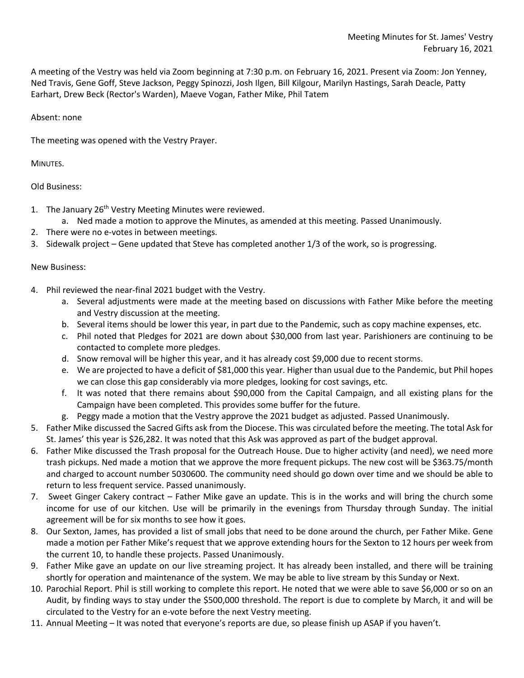A meeting of the Vestry was held via Zoom beginning at 7:30 p.m. on February 16, 2021. Present via Zoom: Jon Yenney, Ned Travis, Gene Goff, Steve Jackson, Peggy Spinozzi, Josh Ilgen, Bill Kilgour, Marilyn Hastings, Sarah Deacle, Patty Earhart, Drew Beck (Rector's Warden), Maeve Vogan, Father Mike, Phil Tatem

## Absent: none

The meeting was opened with the Vestry Prayer.

MINUTES.

Old Business:

- 1. The January 26<sup>th</sup> Vestry Meeting Minutes were reviewed.
	- a. Ned made a motion to approve the Minutes, as amended at this meeting. Passed Unanimously.
- 2. There were no e-votes in between meetings.
- 3. Sidewalk project Gene updated that Steve has completed another 1/3 of the work, so is progressing.

## New Business:

- 4. Phil reviewed the near-final 2021 budget with the Vestry.
	- a. Several adjustments were made at the meeting based on discussions with Father Mike before the meeting and Vestry discussion at the meeting.
	- b. Several items should be lower this year, in part due to the Pandemic, such as copy machine expenses, etc.
	- c. Phil noted that Pledges for 2021 are down about \$30,000 from last year. Parishioners are continuing to be contacted to complete more pledges.
	- d. Snow removal will be higher this year, and it has already cost \$9,000 due to recent storms.
	- e. We are projected to have a deficit of \$81,000 this year. Higher than usual due to the Pandemic, but Phil hopes we can close this gap considerably via more pledges, looking for cost savings, etc.
	- f. It was noted that there remains about \$90,000 from the Capital Campaign, and all existing plans for the Campaign have been completed. This provides some buffer for the future.
	- g. Peggy made a motion that the Vestry approve the 2021 budget as adjusted. Passed Unanimously.
- 5. Father Mike discussed the Sacred Gifts ask from the Diocese. This was circulated before the meeting. The total Ask for St. James' this year is \$26,282. It was noted that this Ask was approved as part of the budget approval.
- 6. Father Mike discussed the Trash proposal for the Outreach House. Due to higher activity (and need), we need more trash pickups. Ned made a motion that we approve the more frequent pickups. The new cost will be \$363.75/month and charged to account number 5030600. The community need should go down over time and we should be able to return to less frequent service. Passed unanimously.
- 7. Sweet Ginger Cakery contract Father Mike gave an update. This is in the works and will bring the church some income for use of our kitchen. Use will be primarily in the evenings from Thursday through Sunday. The initial agreement will be for six months to see how it goes.
- 8. Our Sexton, James, has provided a list of small jobs that need to be done around the church, per Father Mike. Gene made a motion per Father Mike's request that we approve extending hours for the Sexton to 12 hours per week from the current 10, to handle these projects. Passed Unanimously.
- 9. Father Mike gave an update on our live streaming project. It has already been installed, and there will be training shortly for operation and maintenance of the system. We may be able to live stream by this Sunday or Next.
- 10. Parochial Report. Phil is still working to complete this report. He noted that we were able to save \$6,000 or so on an Audit, by finding ways to stay under the \$500,000 threshold. The report is due to complete by March, it and will be circulated to the Vestry for an e-vote before the next Vestry meeting.
- 11. Annual Meeting It was noted that everyone's reports are due, so please finish up ASAP if you haven't.